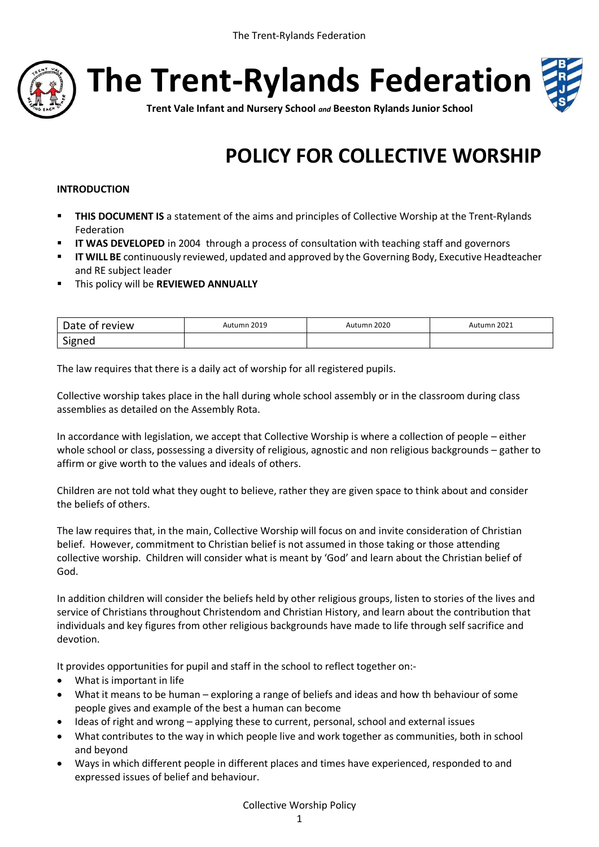

**The Trent-Rylands Federation**



**Trent Vale Infant and Nursery School** *and* **Beeston Rylands Junior School**

# **POLICY FOR COLLECTIVE WORSHIP**

# **INTRODUCTION**

- **THIS DOCUMENT IS** a statement of the aims and principles of Collective Worship at the Trent-Rylands Federation
- **II WAS DEVELOPED** in 2004 through a process of consultation with teaching staff and governors
- **IT WILL BE** continuously reviewed, updated and approved by the Governing Body, Executive Headteacher and RE subject leader
- This policy will be **REVIEWED ANNUALLY**

| Date of review | Autumn 2019 | Autumn 2020 | Autumn 2021 |
|----------------|-------------|-------------|-------------|
| Signed         |             |             |             |

The law requires that there is a daily act of worship for all registered pupils.

Collective worship takes place in the hall during whole school assembly or in the classroom during class assemblies as detailed on the Assembly Rota.

In accordance with legislation, we accept that Collective Worship is where a collection of people – either whole school or class, possessing a diversity of religious, agnostic and non religious backgrounds – gather to affirm or give worth to the values and ideals of others.

Children are not told what they ought to believe, rather they are given space to think about and consider the beliefs of others.

The law requires that, in the main, Collective Worship will focus on and invite consideration of Christian belief. However, commitment to Christian belief is not assumed in those taking or those attending collective worship. Children will consider what is meant by 'God' and learn about the Christian belief of God.

In addition children will consider the beliefs held by other religious groups, listen to stories of the lives and service of Christians throughout Christendom and Christian History, and learn about the contribution that individuals and key figures from other religious backgrounds have made to life through self sacrifice and devotion.

It provides opportunities for pupil and staff in the school to reflect together on:-

- What is important in life
- What it means to be human exploring a range of beliefs and ideas and how th behaviour of some people gives and example of the best a human can become
- Ideas of right and wrong applying these to current, personal, school and external issues
- What contributes to the way in which people live and work together as communities, both in school and beyond
- Ways in which different people in different places and times have experienced, responded to and expressed issues of belief and behaviour.

# Collective Worship Policy